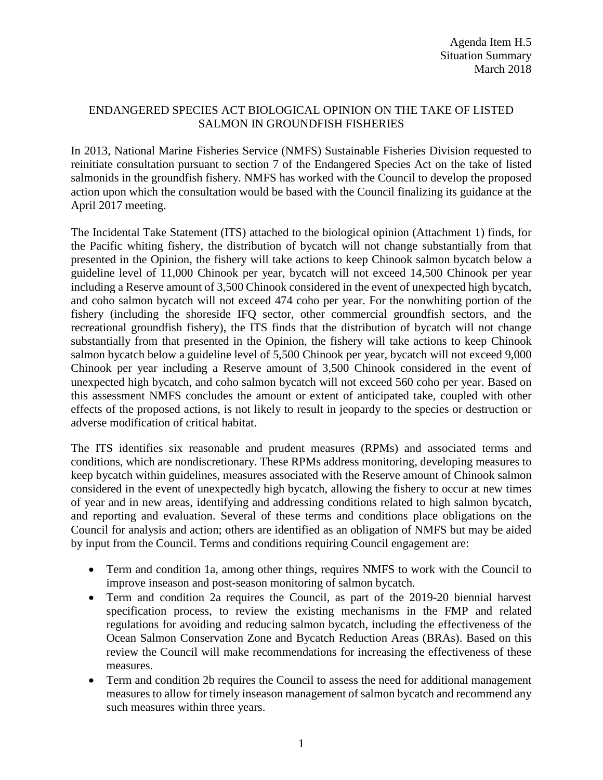## ENDANGERED SPECIES ACT BIOLOGICAL OPINION ON THE TAKE OF LISTED SALMON IN GROUNDFISH FISHERIES

In 2013, National Marine Fisheries Service (NMFS) Sustainable Fisheries Division requested to reinitiate consultation pursuant to section 7 of the Endangered Species Act on the take of listed salmonids in the groundfish fishery. NMFS has worked with the Council to develop the proposed action upon which the consultation would be based with the Council finalizing its guidance at the April 2017 meeting.

The Incidental Take Statement (ITS) attached to the biological opinion (Attachment 1) finds, for the Pacific whiting fishery, the distribution of bycatch will not change substantially from that presented in the Opinion, the fishery will take actions to keep Chinook salmon bycatch below a guideline level of 11,000 Chinook per year, bycatch will not exceed 14,500 Chinook per year including a Reserve amount of 3,500 Chinook considered in the event of unexpected high bycatch, and coho salmon bycatch will not exceed 474 coho per year. For the nonwhiting portion of the fishery (including the shoreside IFQ sector, other commercial groundfish sectors, and the recreational groundfish fishery), the ITS finds that the distribution of bycatch will not change substantially from that presented in the Opinion, the fishery will take actions to keep Chinook salmon bycatch below a guideline level of 5,500 Chinook per year, bycatch will not exceed 9,000 Chinook per year including a Reserve amount of 3,500 Chinook considered in the event of unexpected high bycatch, and coho salmon bycatch will not exceed 560 coho per year. Based on this assessment NMFS concludes the amount or extent of anticipated take, coupled with other effects of the proposed actions, is not likely to result in jeopardy to the species or destruction or adverse modification of critical habitat.

The ITS identifies six reasonable and prudent measures (RPMs) and associated terms and conditions, which are nondiscretionary. These RPMs address monitoring, developing measures to keep bycatch within guidelines, measures associated with the Reserve amount of Chinook salmon considered in the event of unexpectedly high bycatch, allowing the fishery to occur at new times of year and in new areas, identifying and addressing conditions related to high salmon bycatch, and reporting and evaluation. Several of these terms and conditions place obligations on the Council for analysis and action; others are identified as an obligation of NMFS but may be aided by input from the Council. Terms and conditions requiring Council engagement are:

- Term and condition 1a, among other things, requires NMFS to work with the Council to improve inseason and post-season monitoring of salmon bycatch.
- Term and condition 2a requires the Council, as part of the 2019-20 biennial harvest specification process, to review the existing mechanisms in the FMP and related regulations for avoiding and reducing salmon bycatch, including the effectiveness of the Ocean Salmon Conservation Zone and Bycatch Reduction Areas (BRAs). Based on this review the Council will make recommendations for increasing the effectiveness of these measures.
- Term and condition 2b requires the Council to assess the need for additional management measures to allow for timely inseason management of salmon bycatch and recommend any such measures within three years.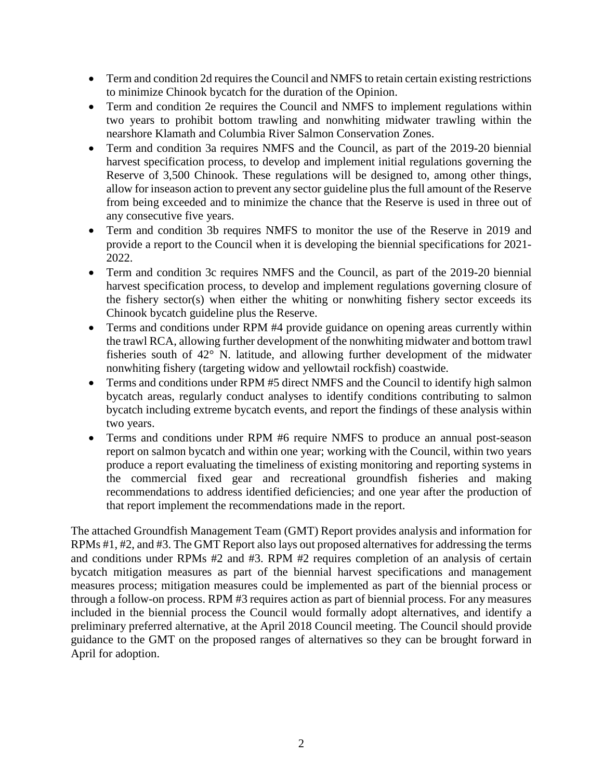- Term and condition 2d requires the Council and NMFS to retain certain existing restrictions to minimize Chinook bycatch for the duration of the Opinion.
- Term and condition 2e requires the Council and NMFS to implement regulations within two years to prohibit bottom trawling and nonwhiting midwater trawling within the nearshore Klamath and Columbia River Salmon Conservation Zones.
- Term and condition 3a requires NMFS and the Council, as part of the 2019-20 biennial harvest specification process, to develop and implement initial regulations governing the Reserve of 3,500 Chinook. These regulations will be designed to, among other things, allow for inseason action to prevent any sector guideline plus the full amount of the Reserve from being exceeded and to minimize the chance that the Reserve is used in three out of any consecutive five years.
- Term and condition 3b requires NMFS to monitor the use of the Reserve in 2019 and provide a report to the Council when it is developing the biennial specifications for 2021- 2022.
- Term and condition 3c requires NMFS and the Council, as part of the 2019-20 biennial harvest specification process, to develop and implement regulations governing closure of the fishery sector(s) when either the whiting or nonwhiting fishery sector exceeds its Chinook bycatch guideline plus the Reserve.
- Terms and conditions under RPM #4 provide guidance on opening areas currently within the trawl RCA, allowing further development of the nonwhiting midwater and bottom trawl fisheries south of 42° N. latitude, and allowing further development of the midwater nonwhiting fishery (targeting widow and yellowtail rockfish) coastwide.
- Terms and conditions under RPM #5 direct NMFS and the Council to identify high salmon bycatch areas, regularly conduct analyses to identify conditions contributing to salmon bycatch including extreme bycatch events, and report the findings of these analysis within two years.
- Terms and conditions under RPM #6 require NMFS to produce an annual post-season report on salmon bycatch and within one year; working with the Council, within two years produce a report evaluating the timeliness of existing monitoring and reporting systems in the commercial fixed gear and recreational groundfish fisheries and making recommendations to address identified deficiencies; and one year after the production of that report implement the recommendations made in the report.

The attached Groundfish Management Team (GMT) Report provides analysis and information for RPMs #1, #2, and #3. The GMT Report also lays out proposed alternatives for addressing the terms and conditions under RPMs #2 and #3. RPM #2 requires completion of an analysis of certain bycatch mitigation measures as part of the biennial harvest specifications and management measures process; mitigation measures could be implemented as part of the biennial process or through a follow-on process. RPM #3 requires action as part of biennial process. For any measures included in the biennial process the Council would formally adopt alternatives, and identify a preliminary preferred alternative, at the April 2018 Council meeting. The Council should provide guidance to the GMT on the proposed ranges of alternatives so they can be brought forward in April for adoption.